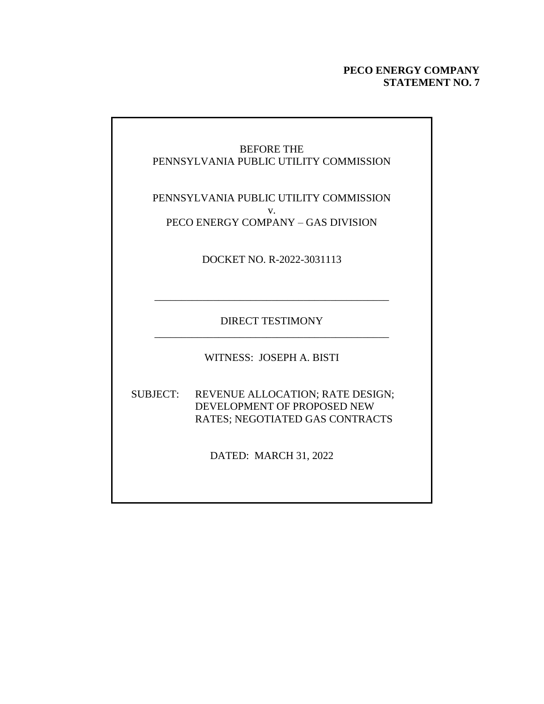#### **PECO ENERGY COMPANY STATEMENT NO. 7**

#### BEFORE THE PENNSYLVANIA PUBLIC UTILITY COMMISSION

PENNSYLVANIA PUBLIC UTILITY COMMISSION v. PECO ENERGY COMPANY – GAS DIVISION

DOCKET NO. R-2022-3031113

DIRECT TESTIMONY \_\_\_\_\_\_\_\_\_\_\_\_\_\_\_\_\_\_\_\_\_\_\_\_\_\_\_\_\_\_\_\_\_\_\_\_\_\_\_\_\_\_\_\_

\_\_\_\_\_\_\_\_\_\_\_\_\_\_\_\_\_\_\_\_\_\_\_\_\_\_\_\_\_\_\_\_\_\_\_\_\_\_\_\_\_\_\_\_

WITNESS: JOSEPH A. BISTI

SUBJECT: REVENUE ALLOCATION; RATE DESIGN; DEVELOPMENT OF PROPOSED NEW RATES; NEGOTIATED GAS CONTRACTS

DATED: MARCH 31, 2022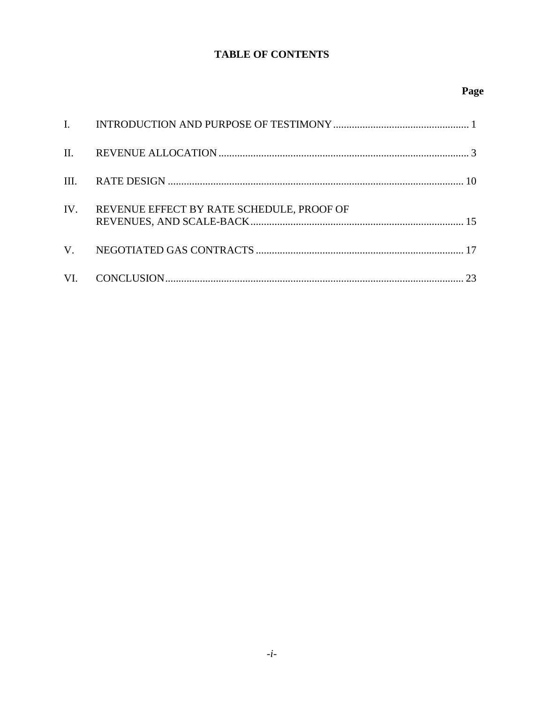#### **TABLE OF CONTENTS**

### Page

| IV. | REVENUE EFFECT BY RATE SCHEDULE, PROOF OF |  |
|-----|-------------------------------------------|--|
|     |                                           |  |
|     |                                           |  |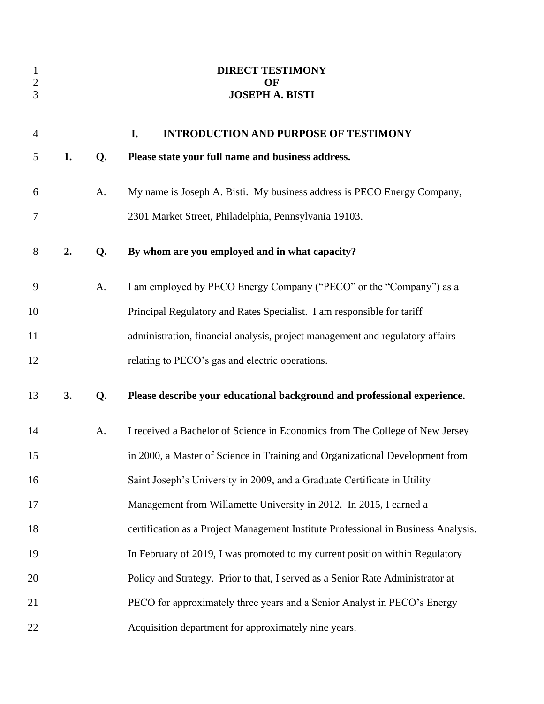<span id="page-2-0"></span>

| $\mathbf{1}$<br>$\sqrt{2}$<br>3 |    |    | <b>DIRECT TESTIMONY</b><br>OF<br><b>JOSEPH A. BISTI</b>                            |
|---------------------------------|----|----|------------------------------------------------------------------------------------|
| $\overline{4}$                  |    |    | I.<br><b>INTRODUCTION AND PURPOSE OF TESTIMONY</b>                                 |
| 5                               | 1. | Q. | Please state your full name and business address.                                  |
| 6                               |    | A. | My name is Joseph A. Bisti. My business address is PECO Energy Company,            |
| 7                               |    |    | 2301 Market Street, Philadelphia, Pennsylvania 19103.                              |
| $8\,$                           | 2. | Q. | By whom are you employed and in what capacity?                                     |
| 9                               |    | A. | I am employed by PECO Energy Company ("PECO" or the "Company") as a                |
| 10                              |    |    | Principal Regulatory and Rates Specialist. I am responsible for tariff             |
| 11                              |    |    | administration, financial analysis, project management and regulatory affairs      |
| 12                              |    |    | relating to PECO's gas and electric operations.                                    |
| 13                              | 3. | Q. | Please describe your educational background and professional experience.           |
| 14                              |    | A. | I received a Bachelor of Science in Economics from The College of New Jersey       |
| 15                              |    |    | in 2000, a Master of Science in Training and Organizational Development from       |
| 16                              |    |    | Saint Joseph's University in 2009, and a Graduate Certificate in Utility           |
| 17                              |    |    | Management from Willamette University in 2012. In 2015, I earned a                 |
| 18                              |    |    | certification as a Project Management Institute Professional in Business Analysis. |
| 19                              |    |    | In February of 2019, I was promoted to my current position within Regulatory       |
| 20                              |    |    | Policy and Strategy. Prior to that, I served as a Senior Rate Administrator at     |
| 21                              |    |    | PECO for approximately three years and a Senior Analyst in PECO's Energy           |
| 22                              |    |    | Acquisition department for approximately nine years.                               |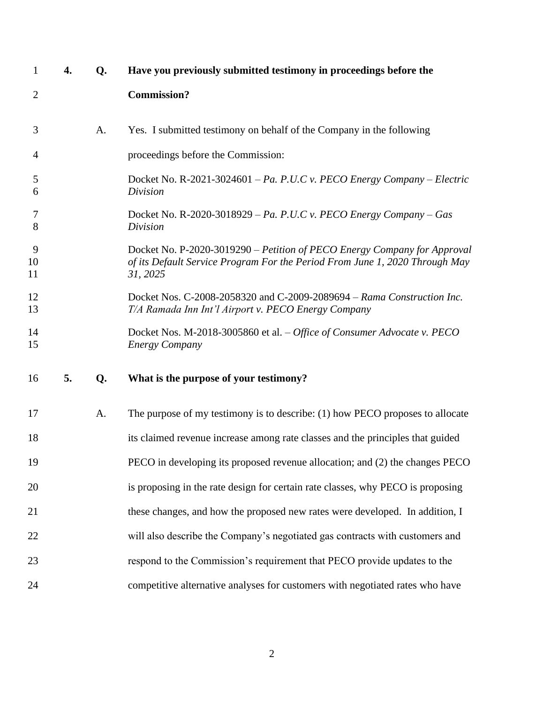| $\mathbf{1}$   | 4. | Q. | Have you previously submitted testimony in proceedings before the                                                                                                   |
|----------------|----|----|---------------------------------------------------------------------------------------------------------------------------------------------------------------------|
| $\overline{2}$ |    |    | <b>Commission?</b>                                                                                                                                                  |
| 3              |    | A. | Yes. I submitted testimony on behalf of the Company in the following                                                                                                |
| 4              |    |    | proceedings before the Commission:                                                                                                                                  |
| 5<br>6         |    |    | Docket No. R-2021-3024601 – Pa. P.U.C v. PECO Energy Company – Electric<br>Division                                                                                 |
| 7<br>8         |    |    | Docket No. R-2020-3018929 – Pa. P.U.C v. PECO Energy Company – Gas<br>Division                                                                                      |
| 9<br>10<br>11  |    |    | Docket No. P-2020-3019290 – Petition of PECO Energy Company for Approval<br>of its Default Service Program For the Period From June 1, 2020 Through May<br>31, 2025 |
| 12<br>13       |    |    | Docket Nos. C-2008-2058320 and C-2009-2089694 - Rama Construction Inc.<br>T/A Ramada Inn Int'l Airport v. PECO Energy Company                                       |
| 14<br>15       |    |    | Docket Nos. M-2018-3005860 et al. - Office of Consumer Advocate v. PECO<br><b>Energy Company</b>                                                                    |
| 16             | 5. | Q. | What is the purpose of your testimony?                                                                                                                              |
| 17             |    | A. | The purpose of my testimony is to describe: (1) how PECO proposes to allocate                                                                                       |
| 18             |    |    | its claimed revenue increase among rate classes and the principles that guided                                                                                      |
| 19             |    |    | PECO in developing its proposed revenue allocation; and (2) the changes PECO                                                                                        |
| 20             |    |    | is proposing in the rate design for certain rate classes, why PECO is proposing                                                                                     |
| 21             |    |    | these changes, and how the proposed new rates were developed. In addition, I                                                                                        |
| 22             |    |    | will also describe the Company's negotiated gas contracts with customers and                                                                                        |
| 23             |    |    | respond to the Commission's requirement that PECO provide updates to the                                                                                            |
| 24             |    |    | competitive alternative analyses for customers with negotiated rates who have                                                                                       |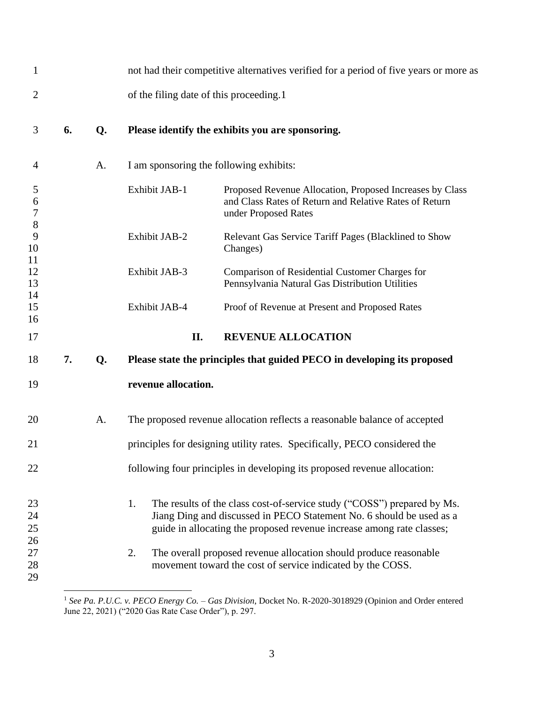<span id="page-4-0"></span>

| $\mathbf{1}$             |    |    |                                         | not had their competitive alternatives verified for a period of five years or more as                                                                                                                                    |
|--------------------------|----|----|-----------------------------------------|--------------------------------------------------------------------------------------------------------------------------------------------------------------------------------------------------------------------------|
| $\overline{2}$           |    |    | of the filing date of this proceeding.1 |                                                                                                                                                                                                                          |
| 3                        | 6. | Q. |                                         | Please identify the exhibits you are sponsoring.                                                                                                                                                                         |
| 4                        |    | A. |                                         | I am sponsoring the following exhibits:                                                                                                                                                                                  |
| 5<br>6<br>$\overline{7}$ |    |    | Exhibit JAB-1                           | Proposed Revenue Allocation, Proposed Increases by Class<br>and Class Rates of Return and Relative Rates of Return<br>under Proposed Rates                                                                               |
| 8<br>9<br>10             |    |    | Exhibit JAB-2                           | Relevant Gas Service Tariff Pages (Blacklined to Show<br>Changes)                                                                                                                                                        |
| 11<br>12<br>13           |    |    | Exhibit JAB-3                           | Comparison of Residential Customer Charges for<br>Pennsylvania Natural Gas Distribution Utilities                                                                                                                        |
| 14<br>15<br>16           |    |    | Exhibit JAB-4                           | Proof of Revenue at Present and Proposed Rates                                                                                                                                                                           |
| 17                       |    |    | II.                                     | <b>REVENUE ALLOCATION</b>                                                                                                                                                                                                |
| 18                       | 7. | Q. |                                         | Please state the principles that guided PECO in developing its proposed                                                                                                                                                  |
| 19                       |    |    | revenue allocation.                     |                                                                                                                                                                                                                          |
| 20                       |    | A. |                                         | The proposed revenue allocation reflects a reasonable balance of accepted                                                                                                                                                |
| 21                       |    |    |                                         | principles for designing utility rates. Specifically, PECO considered the                                                                                                                                                |
| 22                       |    |    |                                         | following four principles in developing its proposed revenue allocation:                                                                                                                                                 |
| 23<br>24<br>25<br>26     |    |    | 1.                                      | The results of the class cost-of-service study ("COSS") prepared by Ms.<br>Jiang Ding and discussed in PECO Statement No. 6 should be used as a<br>guide in allocating the proposed revenue increase among rate classes; |
| 27<br>28<br>29           |    |    | 2.                                      | The overall proposed revenue allocation should produce reasonable<br>movement toward the cost of service indicated by the COSS.                                                                                          |

 *See Pa. P.U.C. v. PECO Energy Co. – Gas Division*, Docket No. R-2020-3018929 (Opinion and Order entered June 22, 2021) ("2020 Gas Rate Case Order"), p. 297.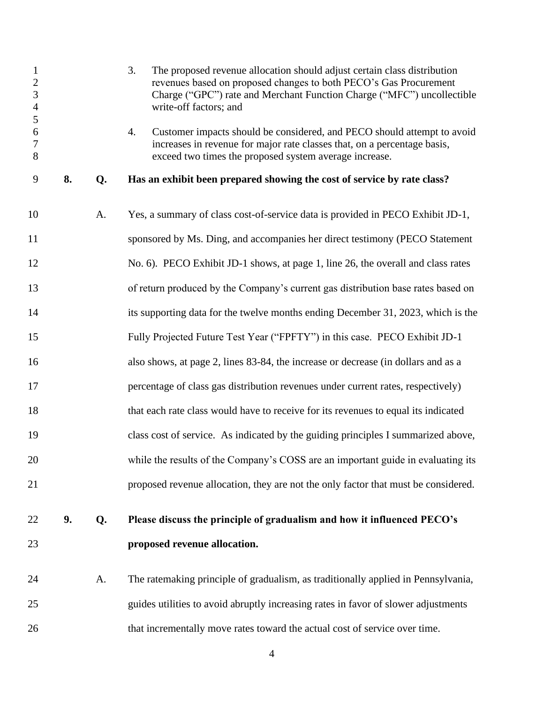| $\mathbf{1}$<br>$\overline{c}$<br>$\overline{3}$<br>$\overline{4}$<br>5<br>6<br>$\boldsymbol{7}$<br>8 |    |    | 3.<br>The proposed revenue allocation should adjust certain class distribution<br>revenues based on proposed changes to both PECO's Gas Procurement<br>Charge ("GPC") rate and Merchant Function Charge ("MFC") uncollectible<br>write-off factors; and<br>4.<br>Customer impacts should be considered, and PECO should attempt to avoid<br>increases in revenue for major rate classes that, on a percentage basis,<br>exceed two times the proposed system average increase. |
|-------------------------------------------------------------------------------------------------------|----|----|--------------------------------------------------------------------------------------------------------------------------------------------------------------------------------------------------------------------------------------------------------------------------------------------------------------------------------------------------------------------------------------------------------------------------------------------------------------------------------|
| 9                                                                                                     | 8. | Q. | Has an exhibit been prepared showing the cost of service by rate class?                                                                                                                                                                                                                                                                                                                                                                                                        |
| 10                                                                                                    |    | A. | Yes, a summary of class cost-of-service data is provided in PECO Exhibit JD-1,                                                                                                                                                                                                                                                                                                                                                                                                 |
| 11                                                                                                    |    |    | sponsored by Ms. Ding, and accompanies her direct testimony (PECO Statement                                                                                                                                                                                                                                                                                                                                                                                                    |
| 12                                                                                                    |    |    | No. 6). PECO Exhibit JD-1 shows, at page 1, line 26, the overall and class rates                                                                                                                                                                                                                                                                                                                                                                                               |
| 13                                                                                                    |    |    | of return produced by the Company's current gas distribution base rates based on                                                                                                                                                                                                                                                                                                                                                                                               |
| 14                                                                                                    |    |    | its supporting data for the twelve months ending December 31, 2023, which is the                                                                                                                                                                                                                                                                                                                                                                                               |
| 15                                                                                                    |    |    | Fully Projected Future Test Year ("FPFTY") in this case. PECO Exhibit JD-1                                                                                                                                                                                                                                                                                                                                                                                                     |
| 16                                                                                                    |    |    | also shows, at page 2, lines 83-84, the increase or decrease (in dollars and as a                                                                                                                                                                                                                                                                                                                                                                                              |
| 17                                                                                                    |    |    | percentage of class gas distribution revenues under current rates, respectively)                                                                                                                                                                                                                                                                                                                                                                                               |
| 18                                                                                                    |    |    | that each rate class would have to receive for its revenues to equal its indicated                                                                                                                                                                                                                                                                                                                                                                                             |
| 19                                                                                                    |    |    | class cost of service. As indicated by the guiding principles I summarized above,                                                                                                                                                                                                                                                                                                                                                                                              |
| 20                                                                                                    |    |    | while the results of the Company's COSS are an important guide in evaluating its                                                                                                                                                                                                                                                                                                                                                                                               |
| 21                                                                                                    |    |    | proposed revenue allocation, they are not the only factor that must be considered.                                                                                                                                                                                                                                                                                                                                                                                             |
| 22                                                                                                    | 9. | Q. | Please discuss the principle of gradualism and how it influenced PECO's                                                                                                                                                                                                                                                                                                                                                                                                        |
| 23                                                                                                    |    |    | proposed revenue allocation.                                                                                                                                                                                                                                                                                                                                                                                                                                                   |
| 24                                                                                                    |    | A. | The ratemaking principle of gradualism, as traditionally applied in Pennsylvania,                                                                                                                                                                                                                                                                                                                                                                                              |
| 25                                                                                                    |    |    | guides utilities to avoid abruptly increasing rates in favor of slower adjustments                                                                                                                                                                                                                                                                                                                                                                                             |
| 26                                                                                                    |    |    | that incrementally move rates toward the actual cost of service over time.                                                                                                                                                                                                                                                                                                                                                                                                     |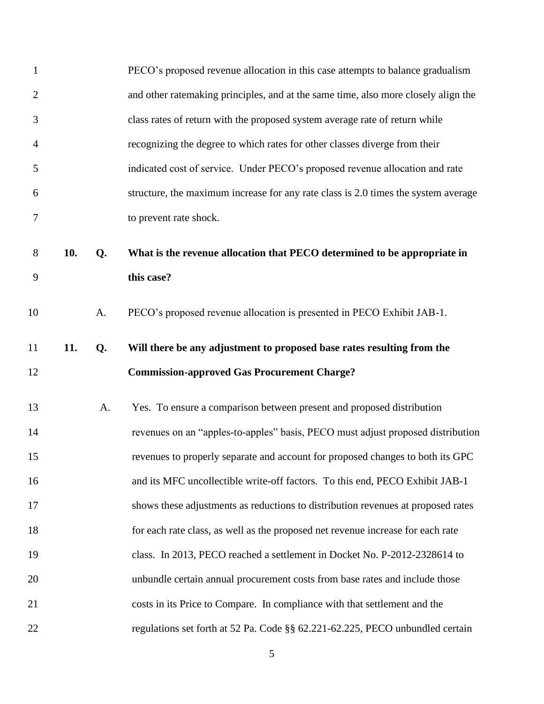| $\mathbf{1}$   |     |    | PECO's proposed revenue allocation in this case attempts to balance gradualism     |
|----------------|-----|----|------------------------------------------------------------------------------------|
| $\overline{2}$ |     |    | and other ratemaking principles, and at the same time, also more closely align the |
| 3              |     |    | class rates of return with the proposed system average rate of return while        |
| $\overline{4}$ |     |    | recognizing the degree to which rates for other classes diverge from their         |
| 5              |     |    | indicated cost of service. Under PECO's proposed revenue allocation and rate       |
| 6              |     |    | structure, the maximum increase for any rate class is 2.0 times the system average |
| 7              |     |    | to prevent rate shock.                                                             |
| 8              | 10. | Q. | What is the revenue allocation that PECO determined to be appropriate in           |
| 9              |     |    | this case?                                                                         |
| 10             |     | A. | PECO's proposed revenue allocation is presented in PECO Exhibit JAB-1.             |
| 11             | 11. | Q. | Will there be any adjustment to proposed base rates resulting from the             |
| 12             |     |    | <b>Commission-approved Gas Procurement Charge?</b>                                 |
|                |     |    |                                                                                    |
| 13             |     | A. | Yes. To ensure a comparison between present and proposed distribution              |
| 14             |     |    | revenues on an "apples-to-apples" basis, PECO must adjust proposed distribution    |
| 15             |     |    | revenues to properly separate and account for proposed changes to both its GPC     |
| 16             |     |    | and its MFC uncollectible write-off factors. To this end, PECO Exhibit JAB-1       |
| 17             |     |    | shows these adjustments as reductions to distribution revenues at proposed rates   |
| 18             |     |    | for each rate class, as well as the proposed net revenue increase for each rate    |
| 19             |     |    | class. In 2013, PECO reached a settlement in Docket No. P-2012-2328614 to          |
| 20             |     |    | unbundle certain annual procurement costs from base rates and include those        |
| 21             |     |    | costs in its Price to Compare. In compliance with that settlement and the          |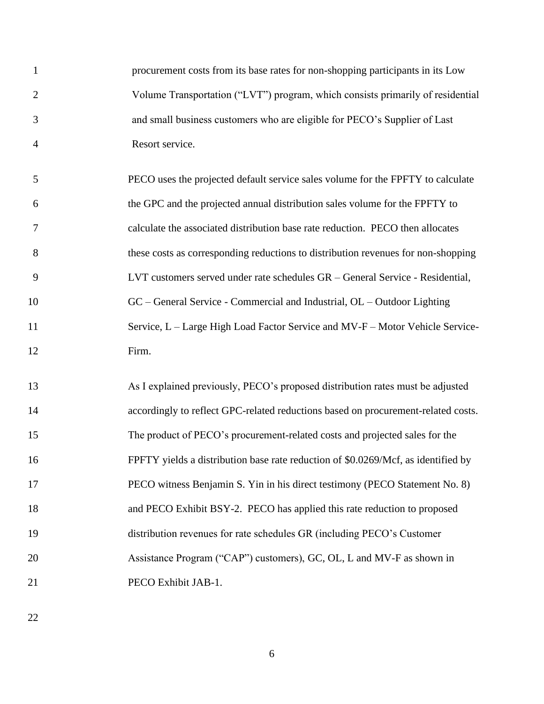| $\mathbf{1}$   | procurement costs from its base rates for non-shopping participants in its Low    |
|----------------|-----------------------------------------------------------------------------------|
| $\overline{2}$ | Volume Transportation ("LVT") program, which consists primarily of residential    |
| 3              | and small business customers who are eligible for PECO's Supplier of Last         |
| $\overline{4}$ | Resort service.                                                                   |
| 5              | PECO uses the projected default service sales volume for the FPFTY to calculate   |
| 6              | the GPC and the projected annual distribution sales volume for the FPFTY to       |
| 7              | calculate the associated distribution base rate reduction. PECO then allocates    |
| 8              | these costs as corresponding reductions to distribution revenues for non-shopping |
| 9              | LVT customers served under rate schedules GR – General Service - Residential,     |
| 10             | $GC$ – General Service - Commercial and Industrial, $OL$ – Outdoor Lighting       |
| 11             | Service, L – Large High Load Factor Service and MV-F – Motor Vehicle Service-     |
| 12             | Firm.                                                                             |
| 13             | As I explained previously, PECO's proposed distribution rates must be adjusted    |
| 14             | accordingly to reflect GPC-related reductions based on procurement-related costs. |
| 15             | The product of PECO's procurement-related costs and projected sales for the       |
| 16             | FPFTY yields a distribution base rate reduction of \$0.0269/Mcf, as identified by |
| 17             | PECO witness Benjamin S. Yin in his direct testimony (PECO Statement No. 8)       |
| 18             | and PECO Exhibit BSY-2. PECO has applied this rate reduction to proposed          |
| 19             | distribution revenues for rate schedules GR (including PECO's Customer            |
| 20             | Assistance Program ("CAP") customers), GC, OL, L and MV-F as shown in             |
| 21             | PECO Exhibit JAB-1.                                                               |
|                |                                                                                   |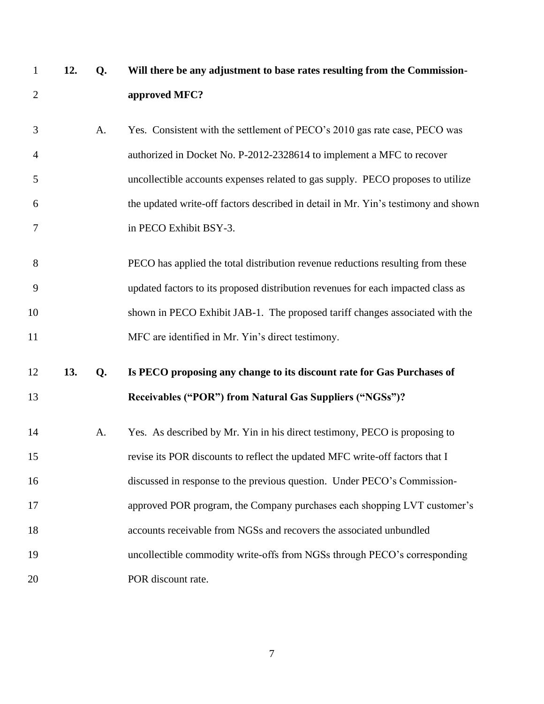| $\mathbf{1}$   | 12. | Q. | Will there be any adjustment to base rates resulting from the Commission-          |
|----------------|-----|----|------------------------------------------------------------------------------------|
| $\overline{2}$ |     |    | approved MFC?                                                                      |
| 3              |     | A. | Yes. Consistent with the settlement of PECO's 2010 gas rate case, PECO was         |
| 4              |     |    | authorized in Docket No. P-2012-2328614 to implement a MFC to recover              |
| 5              |     |    | uncollectible accounts expenses related to gas supply. PECO proposes to utilize    |
| 6              |     |    | the updated write-off factors described in detail in Mr. Yin's testimony and shown |
| 7              |     |    | in PECO Exhibit BSY-3.                                                             |
| 8              |     |    | PECO has applied the total distribution revenue reductions resulting from these    |
| 9              |     |    | updated factors to its proposed distribution revenues for each impacted class as   |
| 10             |     |    | shown in PECO Exhibit JAB-1. The proposed tariff changes associated with the       |
| 11             |     |    | MFC are identified in Mr. Yin's direct testimony.                                  |
| 12             | 13. | Q. | Is PECO proposing any change to its discount rate for Gas Purchases of             |
| 13             |     |    | Receivables ("POR") from Natural Gas Suppliers ("NGSs")?                           |
| 14             |     | A. | Yes. As described by Mr. Yin in his direct testimony, PECO is proposing to         |
| 15             |     |    | revise its POR discounts to reflect the updated MFC write-off factors that I       |
| 16             |     |    | discussed in response to the previous question. Under PECO's Commission-           |
| 17             |     |    | approved POR program, the Company purchases each shopping LVT customer's           |
| 18             |     |    | accounts receivable from NGSs and recovers the associated unbundled                |
| 19             |     |    | uncollectible commodity write-offs from NGSs through PECO's corresponding          |
| 20             |     |    | POR discount rate.                                                                 |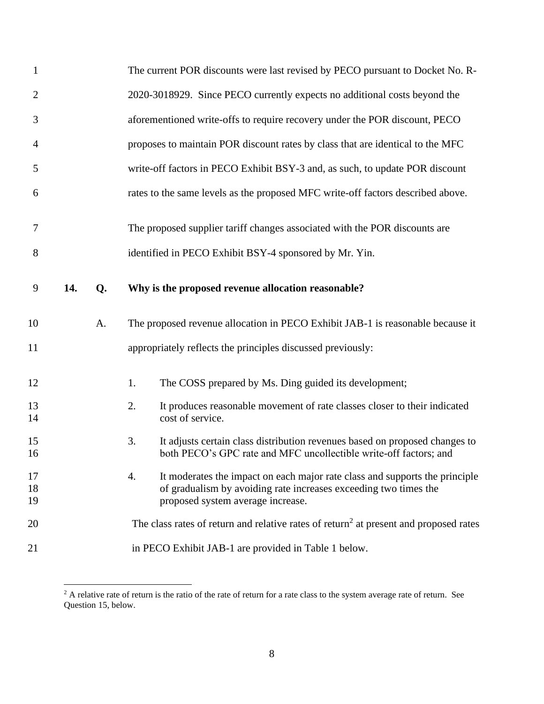| $\mathbf{1}$   |     |    | The current POR discounts were last revised by PECO pursuant to Docket No. R-                                                                                                              |
|----------------|-----|----|--------------------------------------------------------------------------------------------------------------------------------------------------------------------------------------------|
| $\overline{c}$ |     |    | 2020-3018929. Since PECO currently expects no additional costs beyond the                                                                                                                  |
| 3              |     |    | aforementioned write-offs to require recovery under the POR discount, PECO                                                                                                                 |
| 4              |     |    | proposes to maintain POR discount rates by class that are identical to the MFC                                                                                                             |
| 5              |     |    | write-off factors in PECO Exhibit BSY-3 and, as such, to update POR discount                                                                                                               |
| 6              |     |    | rates to the same levels as the proposed MFC write-off factors described above.                                                                                                            |
| 7              |     |    | The proposed supplier tariff changes associated with the POR discounts are                                                                                                                 |
| 8              |     |    | identified in PECO Exhibit BSY-4 sponsored by Mr. Yin.                                                                                                                                     |
| 9              | 14. | Q. | Why is the proposed revenue allocation reasonable?                                                                                                                                         |
| 10             |     | A. | The proposed revenue allocation in PECO Exhibit JAB-1 is reasonable because it                                                                                                             |
| 11             |     |    | appropriately reflects the principles discussed previously:                                                                                                                                |
| 12             |     |    | The COSS prepared by Ms. Ding guided its development;<br>1.                                                                                                                                |
| 13<br>14       |     |    | 2.<br>It produces reasonable movement of rate classes closer to their indicated<br>cost of service.                                                                                        |
| 15<br>16       |     |    | 3.<br>It adjusts certain class distribution revenues based on proposed changes to<br>both PECO's GPC rate and MFC uncollectible write-off factors; and                                     |
| 17<br>18<br>19 |     |    | It moderates the impact on each major rate class and supports the principle<br>4.<br>of gradualism by avoiding rate increases exceeding two times the<br>proposed system average increase. |
| 20             |     |    | The class rates of return and relative rates of return <sup>2</sup> at present and proposed rates                                                                                          |
| 21             |     |    | in PECO Exhibit JAB-1 are provided in Table 1 below.                                                                                                                                       |

<sup>&</sup>lt;sup>2</sup> A relative rate of return is the ratio of the rate of return for a rate class to the system average rate of return. See Question 15, below.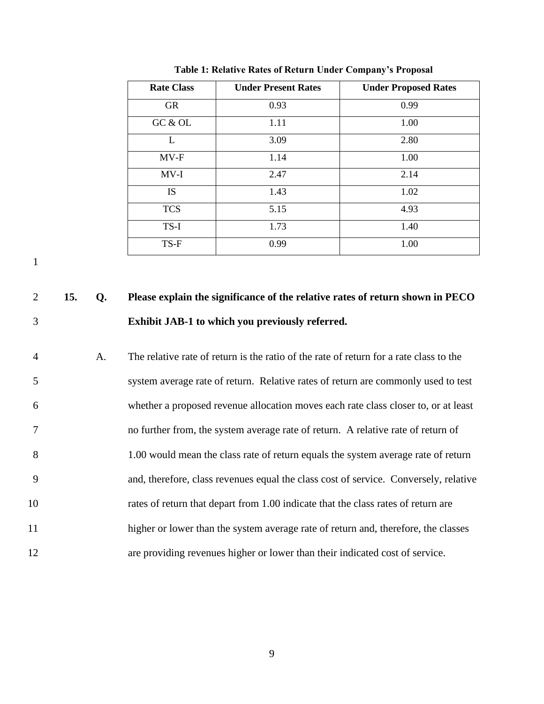| <b>Rate Class</b> | <b>Under Present Rates</b> | <b>Under Proposed Rates</b> |
|-------------------|----------------------------|-----------------------------|
| <b>GR</b>         | 0.93                       | 0.99                        |
| GC & OL           | 1.11                       | 1.00                        |
| L                 | 3.09                       | 2.80                        |
| $MV-F$            | 1.14                       | 1.00                        |
| $MV-I$            | 2.47                       | 2.14                        |
| <b>IS</b>         | 1.43                       | 1.02                        |
| <b>TCS</b>        | 5.15                       | 4.93                        |
| TS-I              | 1.73                       | 1.40                        |
| TS-F              | 0.99                       | 1.00                        |

**Table 1: Relative Rates of Return Under Company's Proposal**

# 2 **15. Q. Please explain the significance of the relative rates of return shown in PECO**  3 **Exhibit JAB-1 to which you previously referred.**

 A. The relative rate of return is the ratio of the rate of return for a rate class to the system average rate of return. Relative rates of return are commonly used to test whether a proposed revenue allocation moves each rate class closer to, or at least no further from, the system average rate of return. A relative rate of return of 1.00 would mean the class rate of return equals the system average rate of return and, therefore, class revenues equal the class cost of service. Conversely, relative rates of return that depart from 1.00 indicate that the class rates of return are 11 higher or lower than the system average rate of return and, therefore, the classes are providing revenues higher or lower than their indicated cost of service.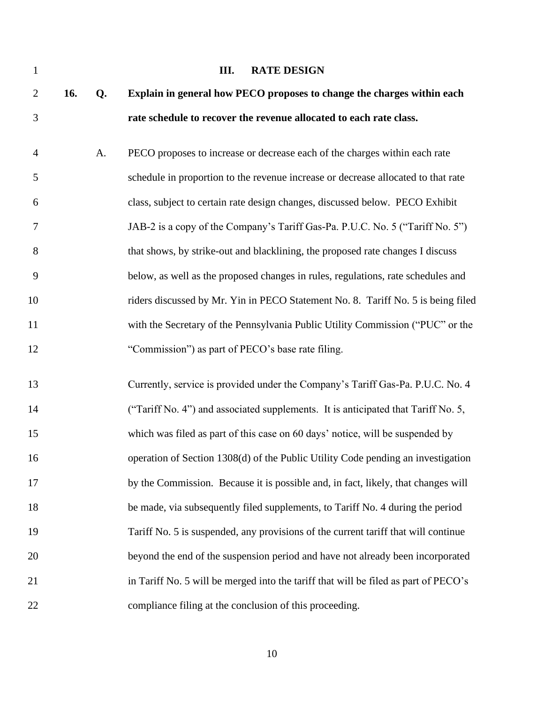<span id="page-11-0"></span>

| $\mathbf{1}$   |     |    | <b>RATE DESIGN</b><br>III.                                                          |
|----------------|-----|----|-------------------------------------------------------------------------------------|
| $\overline{2}$ | 16. | Q. | Explain in general how PECO proposes to change the charges within each              |
| $\mathfrak{Z}$ |     |    | rate schedule to recover the revenue allocated to each rate class.                  |
| $\overline{4}$ |     | A. | PECO proposes to increase or decrease each of the charges within each rate          |
| 5              |     |    | schedule in proportion to the revenue increase or decrease allocated to that rate   |
| 6              |     |    | class, subject to certain rate design changes, discussed below. PECO Exhibit        |
| 7              |     |    | JAB-2 is a copy of the Company's Tariff Gas-Pa. P.U.C. No. 5 ("Tariff No. 5")       |
| 8              |     |    | that shows, by strike-out and blacklining, the proposed rate changes I discuss      |
| 9              |     |    | below, as well as the proposed changes in rules, regulations, rate schedules and    |
| 10             |     |    | riders discussed by Mr. Yin in PECO Statement No. 8. Tariff No. 5 is being filed    |
| 11             |     |    | with the Secretary of the Pennsylvania Public Utility Commission ("PUC" or the      |
| 12             |     |    | "Commission") as part of PECO's base rate filing.                                   |
| 13             |     |    | Currently, service is provided under the Company's Tariff Gas-Pa. P.U.C. No. 4      |
| 14             |     |    | ("Tariff No. 4") and associated supplements. It is anticipated that Tariff No. 5,   |
| 15             |     |    | which was filed as part of this case on 60 days' notice, will be suspended by       |
| 16             |     |    | operation of Section 1308(d) of the Public Utility Code pending an investigation    |
| 17             |     |    | by the Commission. Because it is possible and, in fact, likely, that changes will   |
| 18             |     |    | be made, via subsequently filed supplements, to Tariff No. 4 during the period      |
| 19             |     |    | Tariff No. 5 is suspended, any provisions of the current tariff that will continue  |
| 20             |     |    | beyond the end of the suspension period and have not already been incorporated      |
| 21             |     |    | in Tariff No. 5 will be merged into the tariff that will be filed as part of PECO's |
| 22             |     |    | compliance filing at the conclusion of this proceeding.                             |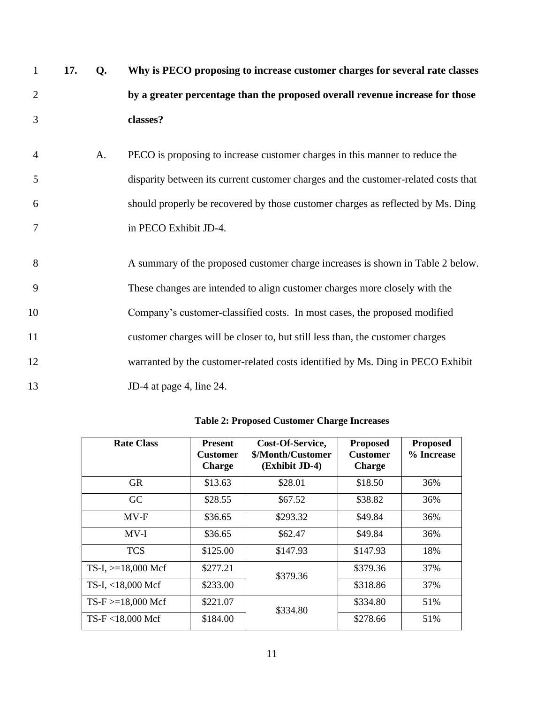| $\mathbf{1}$   | 17. | Q. | Why is PECO proposing to increase customer charges for several rate classes        |
|----------------|-----|----|------------------------------------------------------------------------------------|
| $\overline{2}$ |     |    | by a greater percentage than the proposed overall revenue increase for those       |
| 3              |     |    | classes?                                                                           |
| $\overline{4}$ |     | A. | PECO is proposing to increase customer charges in this manner to reduce the        |
| 5              |     |    | disparity between its current customer charges and the customer-related costs that |
| 6              |     |    | should properly be recovered by those customer charges as reflected by Ms. Ding    |
| 7              |     |    | in PECO Exhibit JD-4.                                                              |
| 8              |     |    | A summary of the proposed customer charge increases is shown in Table 2 below.     |
| 9              |     |    | These changes are intended to align customer charges more closely with the         |
| 10             |     |    | Company's customer-classified costs. In most cases, the proposed modified          |
| 11             |     |    | customer charges will be closer to, but still less than, the customer charges      |
| 12             |     |    | warranted by the customer-related costs identified by Ms. Ding in PECO Exhibit     |
| 13             |     |    | JD-4 at page 4, line 24.                                                           |

| <b>Rate Class</b>     | <b>Present</b><br><b>Customer</b><br><b>Charge</b> | Cost-Of-Service,<br>\$/Month/Customer<br>(Exhibit JD-4) | <b>Proposed</b><br><b>Customer</b><br><b>Charge</b> | <b>Proposed</b><br>% Increase |
|-----------------------|----------------------------------------------------|---------------------------------------------------------|-----------------------------------------------------|-------------------------------|
| <b>GR</b>             | \$13.63                                            | \$28.01                                                 | \$18.50                                             | 36%                           |
| GC                    | \$28.55                                            | \$67.52                                                 | \$38.82                                             | 36%                           |
| $MV-F$                | \$36.65                                            | \$293.32                                                | \$49.84                                             | 36%                           |
| $MV-I$                | \$36.65                                            | \$62.47                                                 | \$49.84                                             | 36%                           |
| <b>TCS</b>            | \$125.00                                           | \$147.93                                                | \$147.93                                            | 18%                           |
| TS-I, $>=18,000$ Mcf  | \$277.21                                           | \$379.36                                                | \$379.36                                            | 37%                           |
| TS-I, <18,000 Mcf     | \$233.00                                           |                                                         | \$318.86                                            | 37%                           |
| $TS-F > = 18,000$ Mcf | \$221.07                                           | \$334.80                                                | \$334.80                                            | 51%                           |
| TS-F <18,000 Mcf      | \$184.00                                           |                                                         | \$278.66                                            | 51%                           |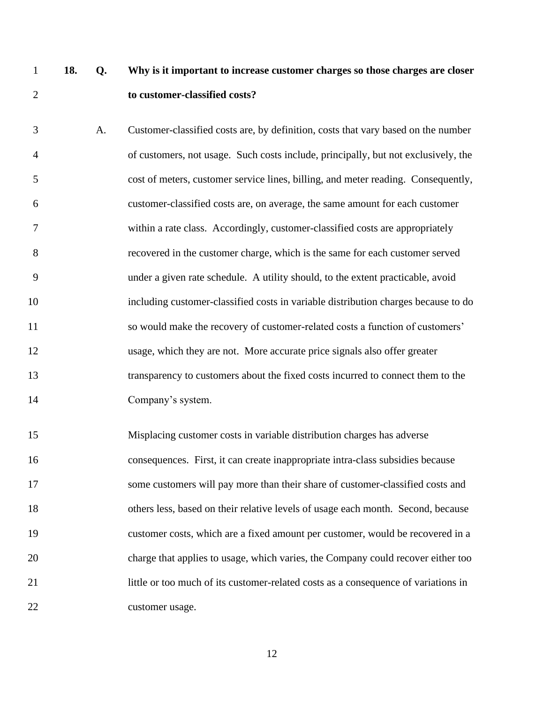# **18. Q. Why is it important to increase customer charges so those charges are closer to customer-classified costs?**

 A. Customer-classified costs are, by definition, costs that vary based on the number of customers, not usage. Such costs include, principally, but not exclusively, the cost of meters, customer service lines, billing, and meter reading. Consequently, customer-classified costs are, on average, the same amount for each customer within a rate class. Accordingly, customer-classified costs are appropriately recovered in the customer charge, which is the same for each customer served under a given rate schedule. A utility should, to the extent practicable, avoid including customer-classified costs in variable distribution charges because to do so would make the recovery of customer-related costs a function of customers' usage, which they are not. More accurate price signals also offer greater transparency to customers about the fixed costs incurred to connect them to the Company's system.

 Misplacing customer costs in variable distribution charges has adverse consequences. First, it can create inappropriate intra-class subsidies because some customers will pay more than their share of customer-classified costs and others less, based on their relative levels of usage each month. Second, because customer costs, which are a fixed amount per customer, would be recovered in a charge that applies to usage, which varies, the Company could recover either too little or too much of its customer-related costs as a consequence of variations in customer usage.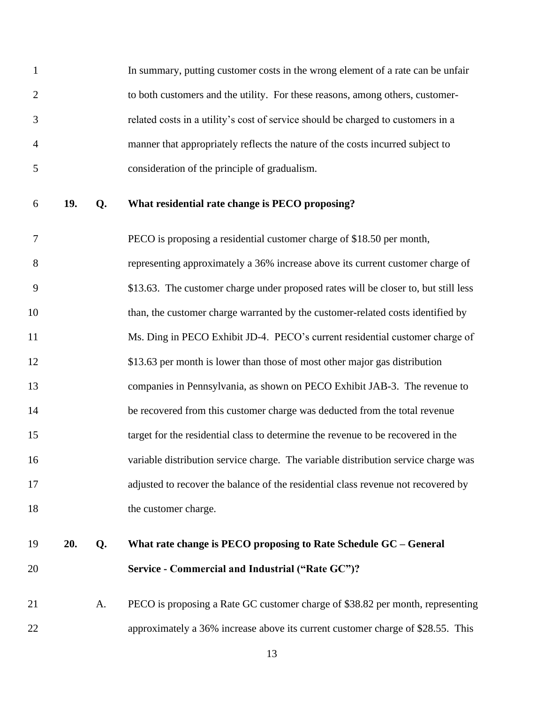In summary, putting customer costs in the wrong element of a rate can be unfair to both customers and the utility. For these reasons, among others, customer- related costs in a utility's cost of service should be charged to customers in a manner that appropriately reflects the nature of the costs incurred subject to consideration of the principle of gradualism.

**19. Q. What residential rate change is PECO proposing?** 

 PECO is proposing a residential customer charge of \$18.50 per month, representing approximately a 36% increase above its current customer charge of \$13.63. The customer charge under proposed rates will be closer to, but still less 10 than, the customer charge warranted by the customer-related costs identified by 11 Ms. Ding in PECO Exhibit JD-4. PECO's current residential customer charge of \$13.63 per month is lower than those of most other major gas distribution companies in Pennsylvania, as shown on PECO Exhibit JAB-3. The revenue to be recovered from this customer charge was deducted from the total revenue target for the residential class to determine the revenue to be recovered in the variable distribution service charge. The variable distribution service charge was adjusted to recover the balance of the residential class revenue not recovered by 18 the customer charge.

# **20. Q. What rate change is PECO proposing to Rate Schedule GC – General Service - Commercial and Industrial ("Rate GC")?**

 A. PECO is proposing a Rate GC customer charge of \$38.82 per month, representing approximately a 36% increase above its current customer charge of \$28.55. This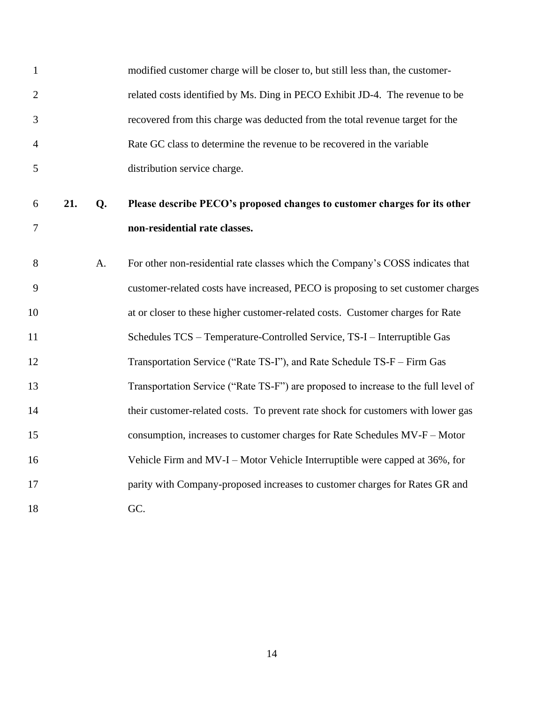| $\mathbf{1}$   |     |    | modified customer charge will be closer to, but still less than, the customer-                             |
|----------------|-----|----|------------------------------------------------------------------------------------------------------------|
| $\overline{2}$ |     |    | related costs identified by Ms. Ding in PECO Exhibit JD-4. The revenue to be                               |
| 3              |     |    | recovered from this charge was deducted from the total revenue target for the                              |
| $\overline{4}$ |     |    | Rate GC class to determine the revenue to be recovered in the variable                                     |
| 5              |     |    | distribution service charge.                                                                               |
| 6<br>7         | 21. | Q. | Please describe PECO's proposed changes to customer charges for its other<br>non-residential rate classes. |
| 8              |     | A. | For other non-residential rate classes which the Company's COSS indicates that                             |
| 9              |     |    | customer-related costs have increased, PECO is proposing to set customer charges                           |
| 10             |     |    | at or closer to these higher customer-related costs. Customer charges for Rate                             |
| 11             |     |    | Schedules TCS - Temperature-Controlled Service, TS-I - Interruptible Gas                                   |
| 12             |     |    | Transportation Service ("Rate TS-I"), and Rate Schedule TS-F - Firm Gas                                    |
| 13             |     |    | Transportation Service ("Rate TS-F") are proposed to increase to the full level of                         |
| 14             |     |    | their customer-related costs. To prevent rate shock for customers with lower gas                           |
| 15             |     |    | consumption, increases to customer charges for Rate Schedules MV-F - Motor                                 |
| 16             |     |    | Vehicle Firm and MV-I – Motor Vehicle Interruptible were capped at 36%, for                                |
| 17             |     |    | parity with Company-proposed increases to customer charges for Rates GR and                                |
| 18             |     |    | GC.                                                                                                        |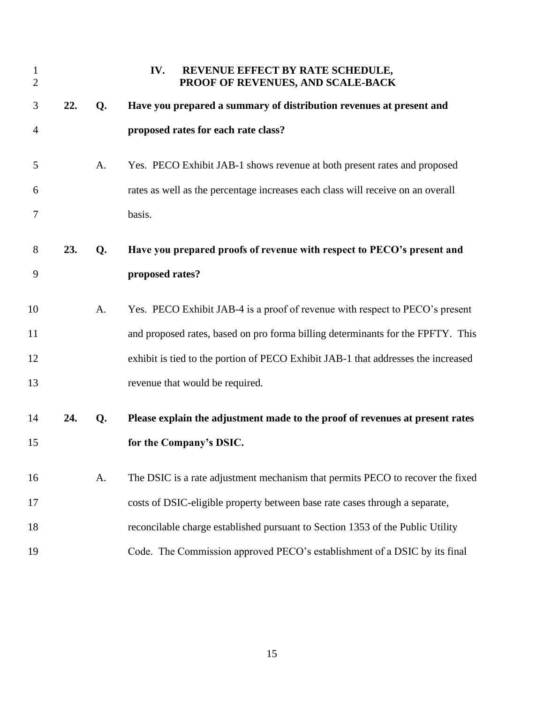<span id="page-16-0"></span>

| $\mathbf{1}$<br>$\overline{2}$ |     |    | REVENUE EFFECT BY RATE SCHEDULE,<br>IV.<br>PROOF OF REVENUES, AND SCALE-BACK      |
|--------------------------------|-----|----|-----------------------------------------------------------------------------------|
| 3                              | 22. | Q. | Have you prepared a summary of distribution revenues at present and               |
| 4                              |     |    | proposed rates for each rate class?                                               |
| 5                              |     | A. | Yes. PECO Exhibit JAB-1 shows revenue at both present rates and proposed          |
| 6                              |     |    | rates as well as the percentage increases each class will receive on an overall   |
| 7                              |     |    | basis.                                                                            |
| 8                              | 23. | Q. | Have you prepared proofs of revenue with respect to PECO's present and            |
| 9                              |     |    | proposed rates?                                                                   |
| 10                             |     | A. | Yes. PECO Exhibit JAB-4 is a proof of revenue with respect to PECO's present      |
| 11                             |     |    | and proposed rates, based on pro forma billing determinants for the FPFTY. This   |
| 12                             |     |    | exhibit is tied to the portion of PECO Exhibit JAB-1 that addresses the increased |
| 13                             |     |    | revenue that would be required.                                                   |
| 14                             | 24. | Q. | Please explain the adjustment made to the proof of revenues at present rates      |
| 15                             |     |    | for the Company's DSIC.                                                           |
| 16                             |     | A. | The DSIC is a rate adjustment mechanism that permits PECO to recover the fixed    |
| 17                             |     |    | costs of DSIC-eligible property between base rate cases through a separate,       |
| 18                             |     |    | reconcilable charge established pursuant to Section 1353 of the Public Utility    |
| 19                             |     |    | Code. The Commission approved PECO's establishment of a DSIC by its final         |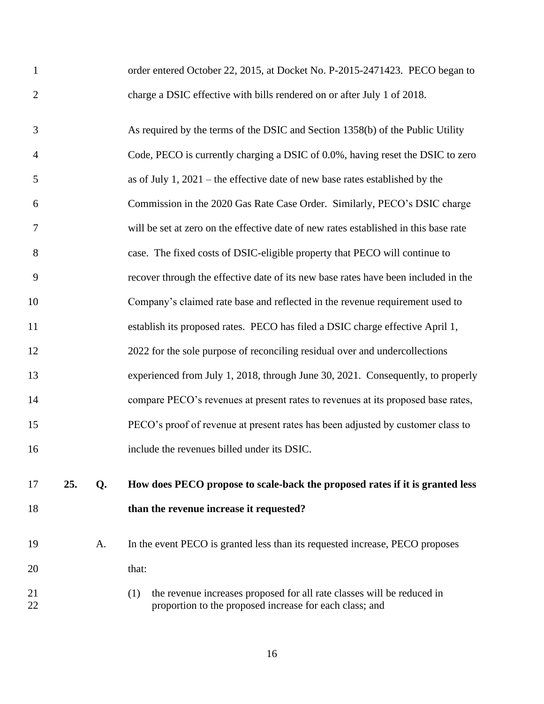| $\mathbf{1}$   |     |    | order entered October 22, 2015, at Docket No. P-2015-2471423. PECO began to                                                              |
|----------------|-----|----|------------------------------------------------------------------------------------------------------------------------------------------|
| $\overline{2}$ |     |    | charge a DSIC effective with bills rendered on or after July 1 of 2018.                                                                  |
| 3              |     |    | As required by the terms of the DSIC and Section 1358(b) of the Public Utility                                                           |
| 4              |     |    | Code, PECO is currently charging a DSIC of 0.0%, having reset the DSIC to zero                                                           |
| 5              |     |    | as of July 1, $2021$ – the effective date of new base rates established by the                                                           |
| 6              |     |    | Commission in the 2020 Gas Rate Case Order. Similarly, PECO's DSIC charge                                                                |
| 7              |     |    | will be set at zero on the effective date of new rates established in this base rate                                                     |
| 8              |     |    | case. The fixed costs of DSIC-eligible property that PECO will continue to                                                               |
| 9              |     |    | recover through the effective date of its new base rates have been included in the                                                       |
| 10             |     |    | Company's claimed rate base and reflected in the revenue requirement used to                                                             |
| 11             |     |    | establish its proposed rates. PECO has filed a DSIC charge effective April 1,                                                            |
| 12             |     |    | 2022 for the sole purpose of reconciling residual over and undercollections                                                              |
| 13             |     |    | experienced from July 1, 2018, through June 30, 2021. Consequently, to properly                                                          |
| 14             |     |    | compare PECO's revenues at present rates to revenues at its proposed base rates,                                                         |
| 15             |     |    | PECO's proof of revenue at present rates has been adjusted by customer class to                                                          |
| 16             |     |    | include the revenues billed under its DSIC.                                                                                              |
| 17             | 25. | Q. | How does PECO propose to scale-back the proposed rates if it is granted less                                                             |
| 18             |     |    | than the revenue increase it requested?                                                                                                  |
| 19             |     | A. | In the event PECO is granted less than its requested increase, PECO proposes                                                             |
| 20             |     |    | that:                                                                                                                                    |
| 21<br>22       |     |    | the revenue increases proposed for all rate classes will be reduced in<br>(1)<br>proportion to the proposed increase for each class; and |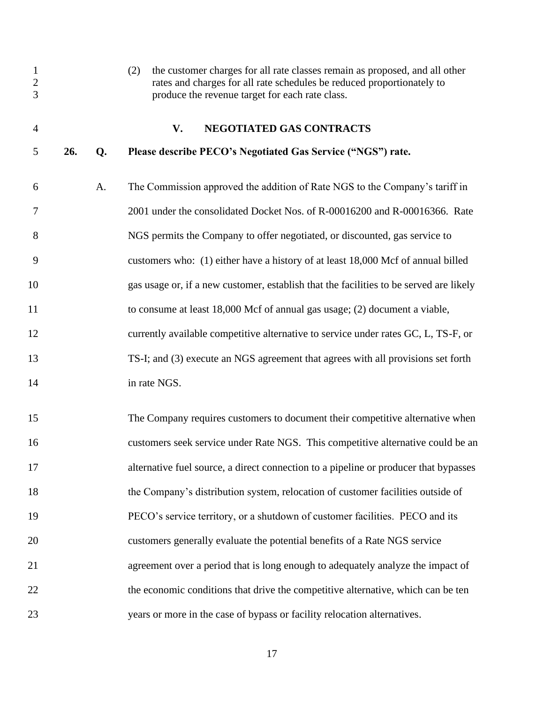<span id="page-18-0"></span>

| $\mathbf{1}$<br>$\sqrt{2}$<br>3 |     |    | the customer charges for all rate classes remain as proposed, and all other<br>(2)<br>rates and charges for all rate schedules be reduced proportionately to<br>produce the revenue target for each rate class. |
|---------------------------------|-----|----|-----------------------------------------------------------------------------------------------------------------------------------------------------------------------------------------------------------------|
| $\overline{4}$                  |     |    | NEGOTIATED GAS CONTRACTS<br>V.                                                                                                                                                                                  |
| 5                               | 26. | Q. | Please describe PECO's Negotiated Gas Service ("NGS") rate.                                                                                                                                                     |
| 6                               |     | A. | The Commission approved the addition of Rate NGS to the Company's tariff in                                                                                                                                     |
| 7                               |     |    | 2001 under the consolidated Docket Nos. of R-00016200 and R-00016366. Rate                                                                                                                                      |
| 8                               |     |    | NGS permits the Company to offer negotiated, or discounted, gas service to                                                                                                                                      |
| 9                               |     |    | customers who: (1) either have a history of at least 18,000 Mcf of annual billed                                                                                                                                |
| 10                              |     |    | gas usage or, if a new customer, establish that the facilities to be served are likely                                                                                                                          |
| 11                              |     |    | to consume at least 18,000 Mcf of annual gas usage; (2) document a viable,                                                                                                                                      |
| 12                              |     |    | currently available competitive alternative to service under rates GC, L, TS-F, or                                                                                                                              |
| 13                              |     |    | TS-I; and (3) execute an NGS agreement that agrees with all provisions set forth                                                                                                                                |
| 14                              |     |    | in rate NGS.                                                                                                                                                                                                    |
| 15                              |     |    | The Company requires customers to document their competitive alternative when                                                                                                                                   |
| 16                              |     |    | customers seek service under Rate NGS. This competitive alternative could be an                                                                                                                                 |
| 17                              |     |    | alternative fuel source, a direct connection to a pipeline or producer that bypasses                                                                                                                            |
| 18                              |     |    | the Company's distribution system, relocation of customer facilities outside of                                                                                                                                 |
| 19                              |     |    | PECO's service territory, or a shutdown of customer facilities. PECO and its                                                                                                                                    |
| 20                              |     |    | customers generally evaluate the potential benefits of a Rate NGS service                                                                                                                                       |
| 21                              |     |    | agreement over a period that is long enough to adequately analyze the impact of                                                                                                                                 |
| 22                              |     |    | the economic conditions that drive the competitive alternative, which can be ten                                                                                                                                |
| 23                              |     |    | years or more in the case of bypass or facility relocation alternatives.                                                                                                                                        |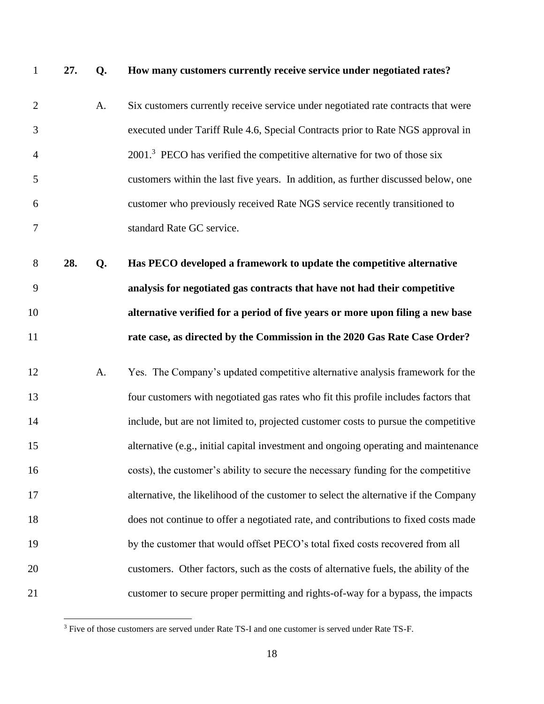#### **27. Q. How many customers currently receive service under negotiated rates?**

- A. Six customers currently receive service under negotiated rate contracts that were executed under Tariff Rule 4.6, Special Contracts prior to Rate NGS approval in 2001<sup>3</sup> PECO has verified the competitive alternative for two of those six customers within the last five years. In addition, as further discussed below, one customer who previously received Rate NGS service recently transitioned to standard Rate GC service.
- **28. Q. Has PECO developed a framework to update the competitive alternative analysis for negotiated gas contracts that have not had their competitive alternative verified for a period of five years or more upon filing a new base rate case, as directed by the Commission in the 2020 Gas Rate Case Order?**
- A. Yes. The Company's updated competitive alternative analysis framework for the four customers with negotiated gas rates who fit this profile includes factors that include, but are not limited to, projected customer costs to pursue the competitive alternative (e.g., initial capital investment and ongoing operating and maintenance costs), the customer's ability to secure the necessary funding for the competitive alternative, the likelihood of the customer to select the alternative if the Company does not continue to offer a negotiated rate, and contributions to fixed costs made 19 by the customer that would offset PECO's total fixed costs recovered from all customers. Other factors, such as the costs of alternative fuels, the ability of the customer to secure proper permitting and rights-of-way for a bypass, the impacts

<sup>&</sup>lt;sup>3</sup> Five of those customers are served under Rate TS-I and one customer is served under Rate TS-F.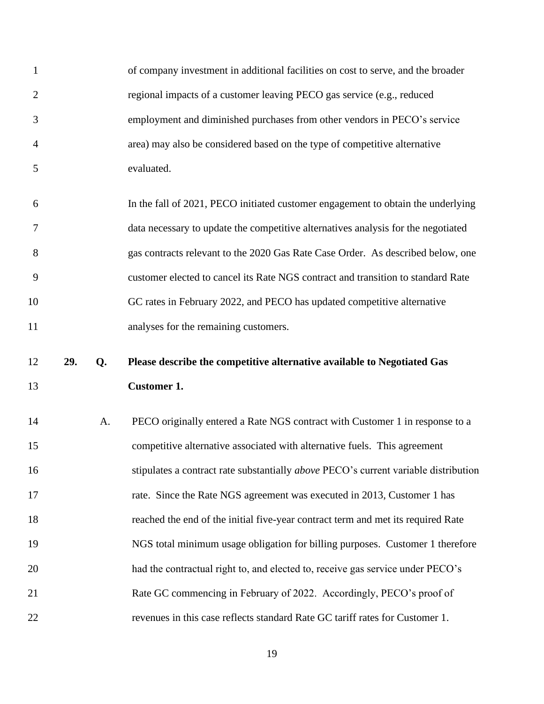| $\mathbf{1}$   |     |    | of company investment in additional facilities on cost to serve, and the broader           |
|----------------|-----|----|--------------------------------------------------------------------------------------------|
| $\overline{2}$ |     |    | regional impacts of a customer leaving PECO gas service (e.g., reduced                     |
| 3              |     |    | employment and diminished purchases from other vendors in PECO's service                   |
| 4              |     |    | area) may also be considered based on the type of competitive alternative                  |
| 5              |     |    | evaluated.                                                                                 |
| 6              |     |    | In the fall of 2021, PECO initiated customer engagement to obtain the underlying           |
| 7              |     |    | data necessary to update the competitive alternatives analysis for the negotiated          |
| 8              |     |    | gas contracts relevant to the 2020 Gas Rate Case Order. As described below, one            |
| 9              |     |    | customer elected to cancel its Rate NGS contract and transition to standard Rate           |
| 10             |     |    | GC rates in February 2022, and PECO has updated competitive alternative                    |
| 11             |     |    | analyses for the remaining customers.                                                      |
|                |     |    |                                                                                            |
| 12             | 29. | Q. | Please describe the competitive alternative available to Negotiated Gas                    |
| 13             |     |    | <b>Customer 1.</b>                                                                         |
| 14             |     | A. | PECO originally entered a Rate NGS contract with Customer 1 in response to a               |
| 15             |     |    | competitive alternative associated with alternative fuels. This agreement                  |
| 16             |     |    | stipulates a contract rate substantially <i>above</i> PECO's current variable distribution |
| 17             |     |    | rate. Since the Rate NGS agreement was executed in 2013, Customer 1 has                    |
| 18             |     |    | reached the end of the initial five-year contract term and met its required Rate           |
| 19             |     |    | NGS total minimum usage obligation for billing purposes. Customer 1 therefore              |
| 20             |     |    | had the contractual right to, and elected to, receive gas service under PECO's             |
| 21             |     |    | Rate GC commencing in February of 2022. Accordingly, PECO's proof of                       |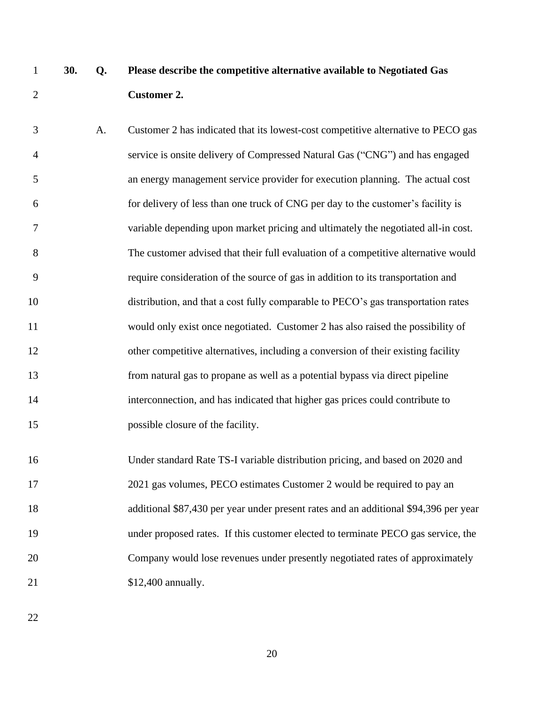# **30. Q. Please describe the competitive alternative available to Negotiated Gas Customer 2.**

 A. Customer 2 has indicated that its lowest-cost competitive alternative to PECO gas service is onsite delivery of Compressed Natural Gas ("CNG") and has engaged an energy management service provider for execution planning. The actual cost for delivery of less than one truck of CNG per day to the customer's facility is variable depending upon market pricing and ultimately the negotiated all-in cost. The customer advised that their full evaluation of a competitive alternative would require consideration of the source of gas in addition to its transportation and distribution, and that a cost fully comparable to PECO's gas transportation rates would only exist once negotiated. Customer 2 has also raised the possibility of 12 other competitive alternatives, including a conversion of their existing facility from natural gas to propane as well as a potential bypass via direct pipeline interconnection, and has indicated that higher gas prices could contribute to 15 possible closure of the facility.

 Under standard Rate TS-I variable distribution pricing, and based on 2020 and 2021 gas volumes, PECO estimates Customer 2 would be required to pay an additional \$87,430 per year under present rates and an additional \$94,396 per year under proposed rates. If this customer elected to terminate PECO gas service, the Company would lose revenues under presently negotiated rates of approximately 21 \$12,400 annually.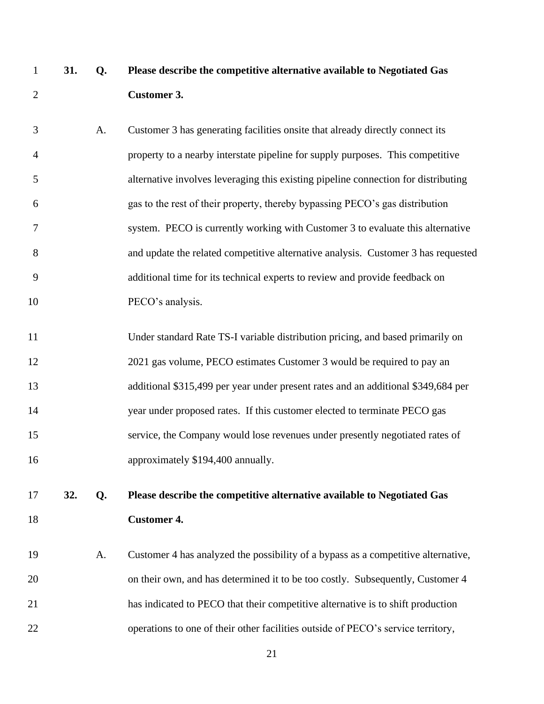- **31. Q. Please describe the competitive alternative available to Negotiated Gas Customer 3.**
- A. Customer 3 has generating facilities onsite that already directly connect its property to a nearby interstate pipeline for supply purposes. This competitive alternative involves leveraging this existing pipeline connection for distributing gas to the rest of their property, thereby bypassing PECO's gas distribution system. PECO is currently working with Customer 3 to evaluate this alternative and update the related competitive alternative analysis. Customer 3 has requested additional time for its technical experts to review and provide feedback on 10 PECO's analysis.
- Under standard Rate TS-I variable distribution pricing, and based primarily on 2021 gas volume, PECO estimates Customer 3 would be required to pay an additional \$315,499 per year under present rates and an additional \$349,684 per year under proposed rates. If this customer elected to terminate PECO gas service, the Company would lose revenues under presently negotiated rates of 16 approximately \$194,400 annually.
- **32. Q. Please describe the competitive alternative available to Negotiated Gas Customer 4.**
- A. Customer 4 has analyzed the possibility of a bypass as a competitive alternative, on their own, and has determined it to be too costly. Subsequently, Customer 4 has indicated to PECO that their competitive alternative is to shift production operations to one of their other facilities outside of PECO's service territory,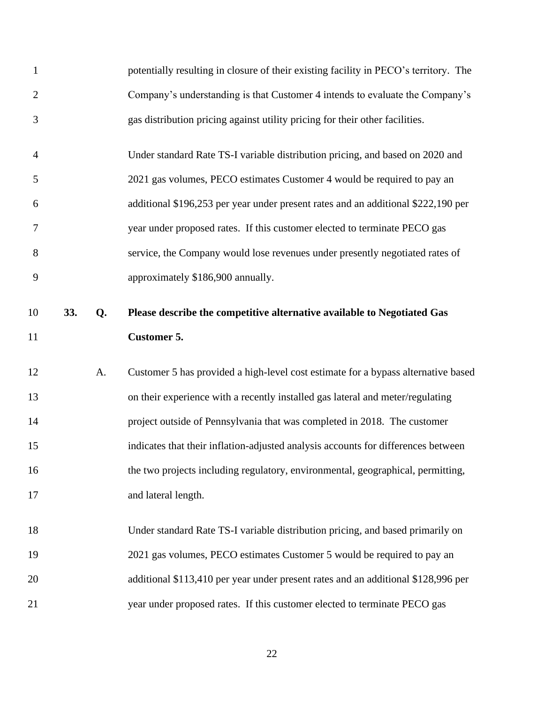| $\mathbf{1}$   |     |    | potentially resulting in closure of their existing facility in PECO's territory. The |
|----------------|-----|----|--------------------------------------------------------------------------------------|
| $\overline{2}$ |     |    | Company's understanding is that Customer 4 intends to evaluate the Company's         |
| 3              |     |    | gas distribution pricing against utility pricing for their other facilities.         |
| $\overline{4}$ |     |    | Under standard Rate TS-I variable distribution pricing, and based on 2020 and        |
| 5              |     |    | 2021 gas volumes, PECO estimates Customer 4 would be required to pay an              |
| 6              |     |    | additional \$196,253 per year under present rates and an additional \$222,190 per    |
| 7              |     |    | year under proposed rates. If this customer elected to terminate PECO gas            |
| 8              |     |    | service, the Company would lose revenues under presently negotiated rates of         |
| 9              |     |    | approximately \$186,900 annually.                                                    |
| 10             | 33. | Q. | Please describe the competitive alternative available to Negotiated Gas              |
| 11             |     |    | <b>Customer 5.</b>                                                                   |
|                |     |    |                                                                                      |
| 12             |     | A. | Customer 5 has provided a high-level cost estimate for a bypass alternative based    |
| 13             |     |    | on their experience with a recently installed gas lateral and meter/regulating       |
| 14             |     |    | project outside of Pennsylvania that was completed in 2018. The customer             |
| 15             |     |    | indicates that their inflation-adjusted analysis accounts for differences between    |
| 16             |     |    | the two projects including regulatory, environmental, geographical, permitting,      |
| 17             |     |    | and lateral length.                                                                  |
| 18             |     |    | Under standard Rate TS-I variable distribution pricing, and based primarily on       |
| 19             |     |    | 2021 gas volumes, PECO estimates Customer 5 would be required to pay an              |
| 20             |     |    | additional \$113,410 per year under present rates and an additional \$128,996 per    |